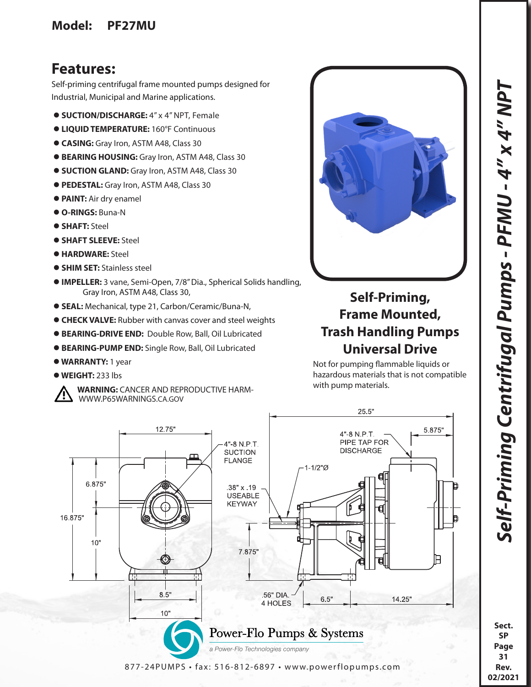### **Model: PF27MU**

## **Features:**

Self-priming centrifugal frame mounted pumps designed for Industrial, Municipal and Marine applications.

- **SUCTION/DISCHARGE:** 4" x 4" NPT, Female
- **LIQUID TEMPERATURE:** 160°F Continuous
- **CASING:** Gray Iron, ASTM A48, Class 30
- **BEARING HOUSING:** Gray Iron, ASTM A48, Class 30
- $\bullet$  **SUCTION GLAND:** Gray Iron, ASTM A48, Class 30
- **PEDESTAL:** Gray Iron, ASTM A48, Class 30
- **PAINT:** Air dry enamel
- **O-RINGS:** Buna-N
- **SHAFT:** Steel
- **SHAFT SLEEVE:** Steel
- **HARDWARE:** Steel
- **SHIM SET: Stainless steel**
- **IMPELLER:** 3 vane, Semi-Open, 7/8" Dia., Spherical Solids handling, Gray Iron, ASTM A48, Class 30,
- **SEAL:** Mechanical, type 21, Carbon/Ceramic/Buna-N,
- **CHECK VALVE:** Rubber with canvas cover and steel weights
- **BEARING-DRIVE END:** Double Row, Ball, Oil Lubricated
- **BEARING-PUMP END:** Single Row, Ball, Oil Lubricated
- **WARRANTY:** 1 year
- **WEIGHT:** 233 lbs
	- **WARNING:** CANCER AND REPRODUCTIVE HARM- WWW.P65WARNINGS.CA.GOV

# **Self-Priming, Frame Mounted, Trash Handling Pumps Universal Drive**

Not for pumping flammable liquids or hazardous materials that is not compatible with pump materials.



**Sect. SP Page 31 Rev. 02/2021**